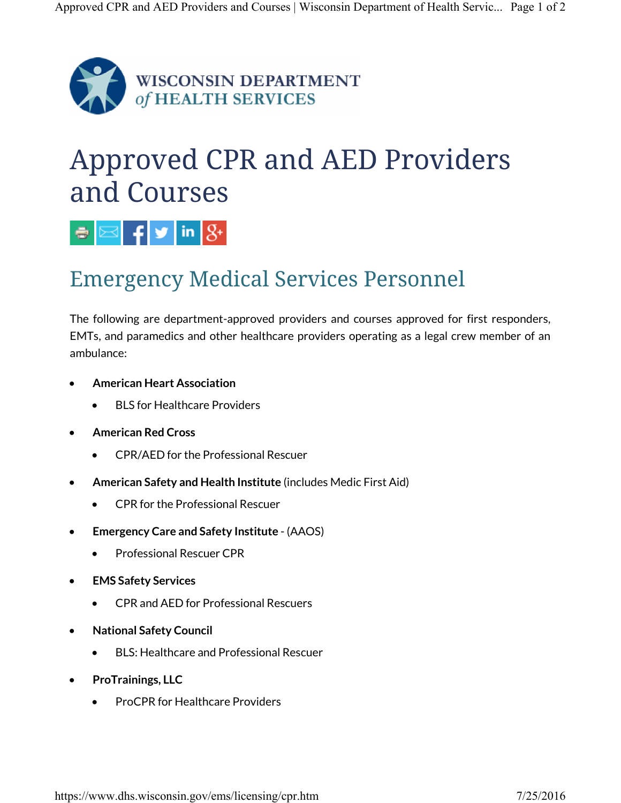

## Approved CPR and AED Providers and Courses



## Emergency Medical Services Personnel

The following are department-approved providers and courses approved for first responders, EMTs, and paramedics and other healthcare providers operating as a legal crew member of an ambulance:

- **American Heart Association**
	- BLS for Healthcare Providers
- **American Red Cross**
	- CPR/AED for the Professional Rescuer
- **American Safety and Health Institute** (includes Medic First Aid)
	- CPR for the Professional Rescuer
- **Emergency Care and Safety Institute** (AAOS)
	- Professional Rescuer CPR
- **EMS Safety Services**
	- CPR and AED for Professional Rescuers
- **National Safety Council**
	- BLS: Healthcare and Professional Rescuer
- **ProTrainings, LLC**
	- ProCPR for Healthcare Providers